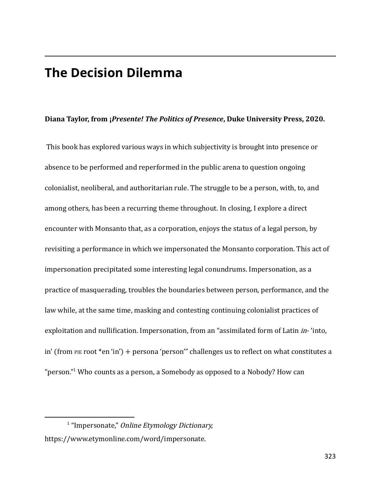## **The Decision Dilemma**

## **Diana Taylor, from ¡***Presente! The Politics of Presence***, Duke University Press, 2020.**

This book has explored various ways in which subjectivity is brought into presence or absence to be performed and reperformed in the public arena to question ongoing colonialist, neoliberal, and authoritarian rule. The struggle to be a person, with, to, and among others, has been a recurring theme throughout. In closing, I explore a direct encounter with Monsanto that, as a corporation, enjoys the status of a legal person, by revisiting a performance in which we impersonated the Monsanto corporation. This act of impersonation precipitated some interesting legal conundrums. Impersonation, as a practice of masquerading, troubles the boundaries between person, performance, and the law while, at the same time, masking and contesting continuing colonialist practices of exploitation and nullification. Impersonation, from an "assimilated form of Latin *in*-'into, in' (from PIE root \*en 'in') + persona 'person'" challenges us to reflect on what constitutes a "person." <sup>1</sup> Who counts as a person, a Somebody as opposed to a Nobody? How can

<sup>&</sup>lt;sup>1</sup> "Impersonate," Online Etymology Dictionary, https://www.etymonline.com/word/impersonate.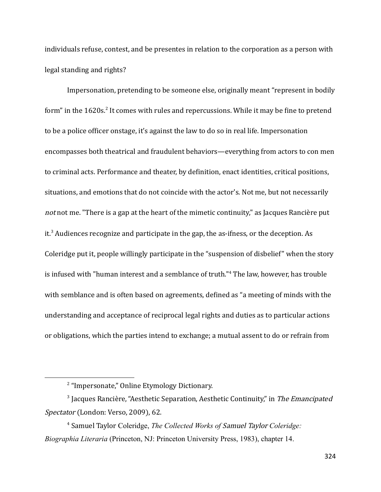individuals refuse, contest, and be presentes in relation to the corporation as a person with legal standing and rights?

Impersonation, pretending to be someone else, originally meant "represent in bodily form" in the 1620s.<sup>2</sup> It comes with rules and repercussions. While it may be fine to pretend to be a police officer onstage, it's against the law to do so in real life. Impersonation encompasses both theatrical and fraudulent behaviors—everything from actors to con men to criminal acts. Performance and theater, by definition, enact identities, critical positions, situations, and emotions that do not coincide with the actor's. Not me, but not necessarily not not me. "There is a gap at the heart of the mimetic continuity," as Jacques Rancière put it.<sup>3</sup> Audiences recognize and participate in the gap, the as-ifness, or the deception. As Coleridge put it, people willingly participate in the "suspension of disbelief" when the story is infused with "human interest and a semblance of truth." <sup>4</sup> The law, however, has trouble with semblance and is often based on agreements, defined as "a meeting of minds with the understanding and acceptance of reciprocal legal rights and duties as to particular actions or obligations, which the parties intend to exchange; a mutual assent to do or refrain from

<sup>&</sup>lt;sup>2</sup> "Impersonate," Online Etymology Dictionary.

<sup>&</sup>lt;sup>3</sup> Jacques Rancière, "Aesthetic Separation, Aesthetic Continuity," in The Emancipated Spectator (London: Verso, 2009), 62.

<sup>4</sup> Samuel Taylor Coleridge, *The Collected Works of* Samuel Taylor *Coleridge: Biographia Literaria* (Princeton, NJ: Princeton University Press, 1983), chapter 14.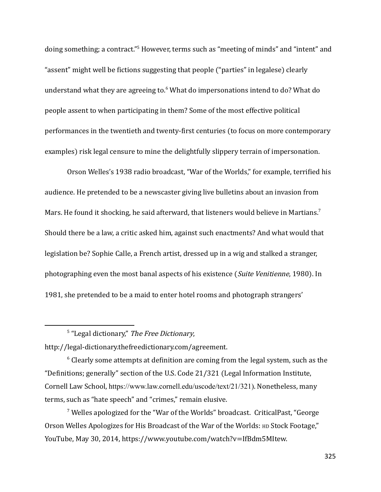doing something; a contract."<sup>5</sup> However, terms such as "meeting of minds" and "intent" and "assent" might well be fictions suggesting that people ("parties" in legalese) clearly understand what they are agreeing to.<sup>6</sup> What do impersonations intend to do? What do people assent to when participating in them? Some of the most effective political performances in the twentieth and twenty-first centuries (to focus on more contemporary examples) risk legal censure to mine the delightfully slippery terrain of impersonation.

Orson Welles's 1938 radio broadcast, "War of the Worlds," for example, terrified his audience. He pretended to be a newscaster giving live bulletins about an invasion from Mars. He found it shocking, he said afterward, that listeners would believe in Martians.<sup>7</sup> Should there be a law, a critic asked him, against such enactments? And what would that legislation be? Sophie Calle, a French artist, dressed up in a wig and stalked a stranger, photographing even the most banal aspects of his existence (Suite Venitienne, 1980). In 1981, she pretended to be a maid to enter hotel rooms and photograph strangers'

<sup>5</sup> "Legal dictionary," The Free Dictionary,

http://legal-dictionary.thefreedictionary.com/agreement.

 $6$  Clearly some attempts at definition are coming from the legal system, such as the "Definitions; generally" section of the U.S. Code 21/321 (Legal Information Institute, Cornell Law School, https://www.law.cornell.edu/uscode/text/21/321). Nonetheless, many terms, such as "hate speech" and "crimes," remain elusive.

<sup>7</sup> Welles apologized for the "War of the Worlds" broadcast. CriticalPast, "George Orson Welles Apologizes for His Broadcast of the War of the Worlds: HD Stock Footage," YouTube, May 30, 2014, https://www.youtube.com/watch?v=IfBdm5MItew.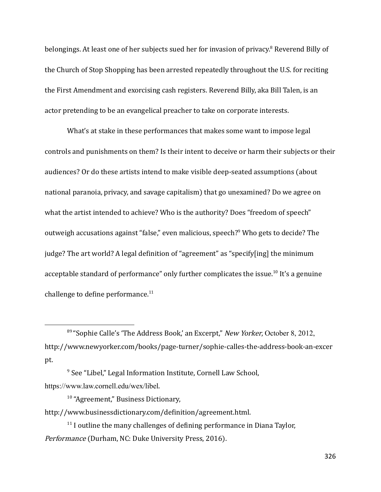belongings. At least one of her subjects sued her for invasion of privacy.<sup>8</sup> Reverend Billy of the Church of Stop Shopping has been arrested repeatedly throughout the U.S. for reciting the First Amendment and exorcising cash registers. Reverend Billy, aka Bill Talen, is an actor pretending to be an evangelical preacher to take on corporate interests.

What's at stake in these performances that makes some want to impose legal controls and punishments on them? Is their intent to deceive or harm their subjects or their audiences? Or do these artists intend to make visible deep-seated assumptions (about national paranoia, privacy, and savage capitalism) that go unexamined? Do we agree on what the artist intended to achieve? Who is the authority? Does "freedom of speech" outweigh accusations against "false," even malicious, speech?<sup>9</sup> Who gets to decide? The judge? The art world? A legal definition of "agreement" as "specify[ing] the minimum acceptable standard of performance" only further complicates the issue.<sup>10</sup> It's a genuine challenge to define performance. $11$ 

<sup>&</sup>lt;sup>89</sup> "Sophie Calle's 'The Address Book,' an Excerpt," New Yorker, October 8, 2012, http://www.newyorker.com/books/page-turner/sophie-calles-the-address-book-an-excer pt.

<sup>&</sup>lt;sup>9</sup> See "Libel," Legal Information Institute, Cornell Law School, https://www.law.cornell.edu/wex/libel.

<sup>&</sup>lt;sup>10</sup> "Agreement," Business Dictionary, http://www.businessdictionary.com/definition/agreement.html.

 $11$  I outline the many challenges of defining performance in Diana Taylor, Performance (Durham, NC: Duke University Press, 2016).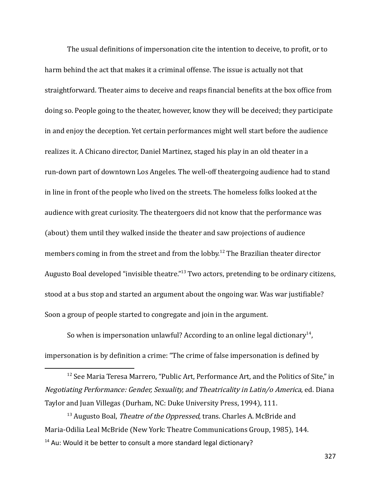The usual definitions of impersonation cite the intention to deceive, to profit, or to harm behind the act that makes it a criminal offense. The issue is actually not that straightforward. Theater aims to deceive and reaps financial benefits at the box office from doing so. People going to the theater, however, know they will be deceived; they participate in and enjoy the deception. Yet certain performances might well start before the audience realizes it. A Chicano director, Daniel Martinez, staged his play in an old theater in a run-down part of downtown Los Angeles. The well-off theatergoing audience had to stand in line in front of the people who lived on the streets. The homeless folks looked at the audience with great curiosity. The theatergoers did not know that the performance was (about) them until they walked inside the theater and saw projections of audience members coming in from the street and from the lobby.<sup>12</sup> The Brazilian theater director Augusto Boal developed "invisible theatre."<sup>13</sup> Two actors, pretending to be ordinary citizens, stood at a bus stop and started an argument about the ongoing war. Was war justifiable? Soon a group of people started to congregate and join in the argument.

So when is impersonation unlawful? According to an online legal dictionary<sup>14</sup>, impersonation is by definition a crime: "The crime of false impersonation is defined by

<sup>&</sup>lt;sup>12</sup> See Maria Teresa Marrero, "Public Art, Performance Art, and the Politics of Site," in Negotiating Performance: Gender, Sexuality, and Theatricality in Latin/o America, ed. Diana Taylor and Juan Villegas (Durham, NC: Duke University Press, 1994), 111.

 $14$  Au: Would it be better to consult a more standard legal dictionary?  $13$  Augusto Boal, *Theatre of the Oppressed*, trans. Charles A. McBride and Maria-Odilia Leal McBride (New York: Theatre Communications Group, 1985), 144.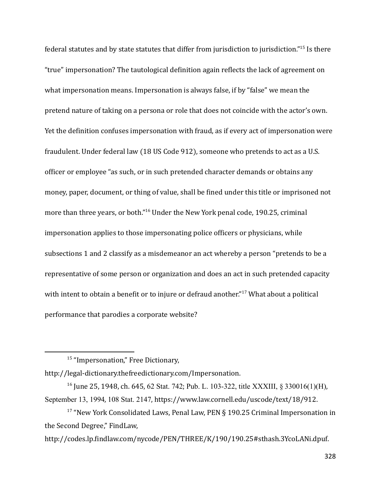federal statutes and by state statutes that differ from jurisdiction to jurisdiction." 15 Is there "true" impersonation? The tautological definition again reflects the lack of agreement on what impersonation means. Impersonation is always false, if by "false" we mean the pretend nature of taking on a persona or role that does not coincide with the actor's own. Yet the definition confuses impersonation with fraud, as if every act of impersonation were fraudulent. Under federal law (18 US Code 912), someone who pretends to act as a U.S. officer or employee "as such, or in such pretended character demands or obtains any money, paper, document, or thing of value, shall be fined under this title or imprisoned not more than three years, or both." <sup>16</sup> Under the New York penal code, 190.25, criminal impersonation applies to those impersonating police officers or physicians, while subsections 1 and 2 classify as a misdemeanor an act whereby a person "pretends to be a representative of some person or organization and does an act in such pretended capacity with intent to obtain a benefit or to injure or defraud another."<sup>17</sup> What about a political performance that parodies a corporate website?

http://legal-dictionary.thefreedictionary.com/Impersonation.

<sup>&</sup>lt;sup>15</sup> "Impersonation," Free Dictionary,

<sup>16</sup> June 25, 1948, ch. 645, 62 Stat. 742; Pub. L. 103-322, title XXXIII, § 330016(1)(H), September 13, 1994, 108 Stat. 2147, https://www.law.cornell.edu/uscode/text/18/912.

<sup>&</sup>lt;sup>17</sup> "New York Consolidated Laws, Penal Law, PEN § 190.25 Criminal Impersonation in the Second Degree," FindLaw,

http://codes.lp.findlaw.com/nycode/PEN/THREE/K/190/190.25#sthash.3YcoLANi.dpuf.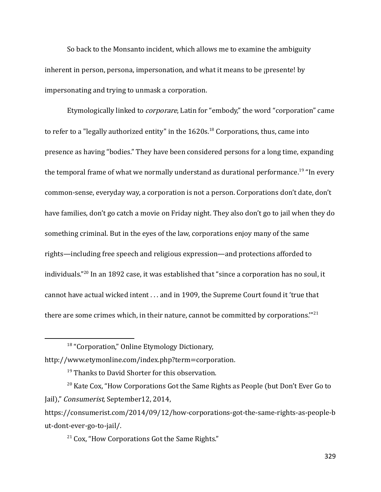So back to the Monsanto incident, which allows me to examine the ambiguity inherent in person, persona, impersonation, and what it means to be ¡presente! by impersonating and trying to unmask a corporation.

Etymologically linked to corporare, Latin for "embody," the word "corporation" came to refer to a "legally authorized entity" in the  $1620s$ .<sup>18</sup> Corporations, thus, came into presence as having "bodies." They have been considered persons for a long time, expanding the temporal frame of what we normally understand as durational performance.<sup>19</sup> "In every common-sense, everyday way, a corporation is not a person. Corporations don't date, don't have families, don't go catch a movie on Friday night. They also don't go to jail when they do something criminal. But in the eyes of the law, corporations enjoy many of the same rights—including free speech and religious expression—and protections afforded to individuals."<sup>20</sup> In an 1892 case, it was established that "since a corporation has no soul, it cannot have actual wicked intent . . . and in 1909, the Supreme Court found it 'true that there are some crimes which, in their nature, cannot be committed by corporations." $^{21}$ 

http://www.etymonline.com/index.php?term=corporation.

<sup>21</sup> Cox, "How Corporations Got the Same Rights."

<sup>&</sup>lt;sup>18</sup> "Corporation," Online Etymology Dictionary,

<sup>&</sup>lt;sup>19</sup> Thanks to David Shorter for this observation.

 $20$  Kate Cox, "How Corporations Got the Same Rights as People (but Don't Ever Go to Jail)," Consumerist, September12, 2014,

https://consumerist.com/2014/09/12/how-corporations-got-the-same-rights-as-people-b ut-dont-ever-go-to-jail/.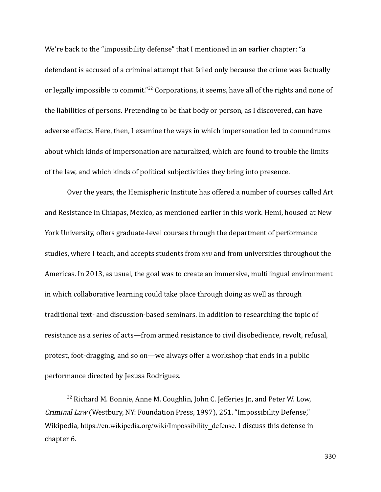We're back to the "impossibility defense" that I mentioned in an earlier chapter: "a defendant is accused of a criminal attempt that failed only because the crime was factually or legally impossible to commit."<sup>22</sup> Corporations, it seems, have all of the rights and none of the liabilities of persons. Pretending to be that body or person, as I discovered, can have adverse effects. Here, then, I examine the ways in which impersonation led to conundrums about which kinds of impersonation are naturalized, which are found to trouble the limits of the law, and which kinds of political subjectivities they bring into presence.

Over the years, the Hemispheric Institute has offered a number of courses called Art and Resistance in Chiapas, Mexico, as mentioned earlier in this work. Hemi, housed at New York University, offers graduate-level courses through the department of performance studies, where I teach, and accepts students from NYU and from universities throughout the Americas. In 2013, as usual, the goal was to create an immersive, multilingual environment in which collaborative learning could take place through doing as well as through traditional text- and discussion-based seminars. In addition to researching the topic of resistance as a series of acts—from armed resistance to civil disobedience, revolt, refusal, protest, foot-dragging, and so on—we always offer a workshop that ends in a public performance directed by Jesusa Rodríguez.

 $22$  Richard M. Bonnie, Anne M. Coughlin, John C. Jefferies Jr., and Peter W. Low, Criminal Law (Westbury, NY: Foundation Press, 1997), 251. "Impossibility Defense," Wikipedia, https://en.wikipedia.org/wiki/Impossibility defense. I discuss this defense in chapter 6.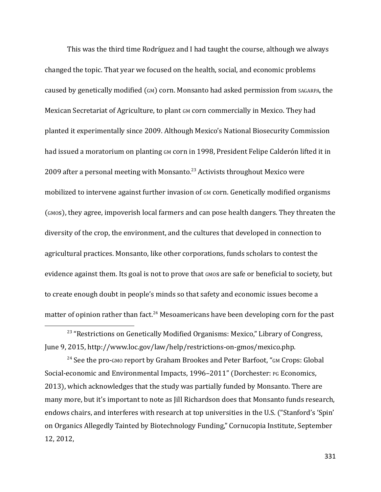This was the third time Rodríguez and I had taught the course, although we always changed the topic. That year we focused on the health, social, and economic problems caused by genetically modified  $(GM)$  corn. Monsanto had asked permission from  $SAGARPA$ , the Mexican Secretariat of Agriculture, to plant GM corn commercially in Mexico. They had planted it experimentally since 2009. Although Mexico's National Biosecurity Commission had issued a moratorium on planting GM corn in 1998, President Felipe Calderón lifted it in 2009 after a personal meeting with Monsanto.<sup>23</sup> Activists throughout Mexico were mobilized to intervene against further invasion of GM corn. Genetically modified organisms (GMOs), they agree, impoverish local farmers and can pose health dangers. They threaten the diversity of the crop, the environment, and the cultures that developed in connection to agricultural practices. Monsanto, like other corporations, funds scholars to contest the evidence against them. Its goal is not to prove that GMOS are safe or beneficial to society, but to create enough doubt in people's minds so that safety and economic issues become a matter of opinion rather than fact.<sup>24</sup> Mesoamericans have been developing corn for the past

 $24$  See the pro-GMO report by Graham Brookes and Peter Barfoot, "GM Crops: Global Social-economic and Environmental Impacts, 1996–2011" (Dorchester: PG Economics, 2013), which acknowledges that the study was partially funded by Monsanto. There are many more, but it's important to note as Jill Richardson does that Monsanto funds research, endows chairs, and interferes with research at top universities in the U.S. ("Stanford's 'Spin' on Organics Allegedly Tainted by Biotechnology Funding," Cornucopia Institute, September 12, 2012,

<sup>&</sup>lt;sup>23</sup> "Restrictions on Genetically Modified Organisms: Mexico," Library of Congress, June 9, 2015, http://www.loc.gov/law/help/restrictions-on-gmos/mexico.php.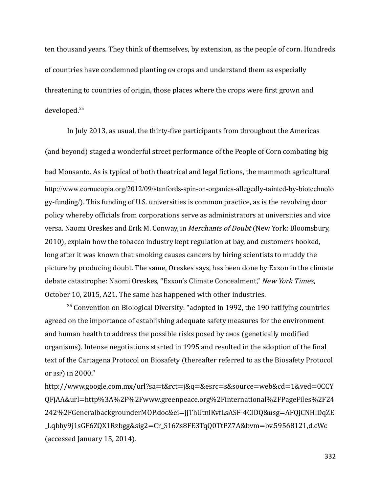ten thousand years. They think of themselves, by extension, as the people of corn. Hundreds of countries have condemned planting GM crops and understand them as especially threatening to countries of origin, those places where the crops were first grown and developed.<sup>25</sup>

In July 2013, as usual, the thirty-five participants from throughout the Americas (and beyond) staged a wonderful street performance of the People of Corn combating big bad Monsanto. As is typical of both theatrical and legal fictions, the mammoth agricultural http://www.cornucopia.org/2012/09/stanfords-spin-on-organics-allegedly-tainted-by-biotechnolo gy-funding/). This funding of U.S. universities is common practice, as is the revolving door policy whereby officials from corporations serve as administrators at universities and vice versa. Naomi Oreskes and Erik M. Conway, in Merchants of Doubt (New York: Bloomsbury, 2010), explain how the tobacco industry kept regulation at bay, and customers hooked, long after it was known that smoking causes cancers by hiring scientists to muddy the picture by producing doubt. The same, Oreskes says, has been done by Exxon in the climate debate catastrophe: Naomi Oreskes, "Exxon's Climate Concealment," New York Times, October 10, 2015, A21. The same has happened with other industries.

 $25$  Convention on Biological Diversity: "adopted in 1992, the 190 ratifying countries agreed on the importance of establishing adequate safety measures for the environment and human health to address the possible risks posed by GMOS (genetically modified organisms). Intense negotiations started in 1995 and resulted in the adoption of the final text of the Cartagena Protocol on Biosafety (thereafter referred to as the Biosafety Protocol or BSP) in 2000."

http://www.google.com.mx/url?sa=t&rct=j&q=&esrc=s&source=web&cd=1&ved=0CCY QFjAA&url=http%3A%2F%2Fwww.greenpeace.org%2Finternational%2FPageFiles%2F24 242%2FGeneralbackgrounderMOP.doc&ei=jjThUtniKvfLsASF-4CIDQ&usg=AFQjCNHlDqZE \_Lqbhy9j1sGF6ZQX1Rzbgg&sig2=Cr\_S16Zs8FE3TqQ0TtPZ7A&bvm=bv.59568121,d.cWc (accessed January 15, 2014).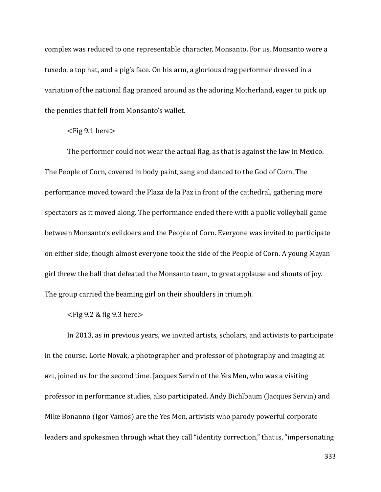complex was reduced to one representable character, Monsanto. For us, Monsanto wore a tuxedo, a top hat, and a pig's face. On his arm, a glorious drag performer dressed in a variation of the national flag pranced around as the adoring Motherland, eager to pick up the pennies that fell from Monsanto's wallet.

## $\langle$ Fig 9.1 here $>$

The performer could not wear the actual flag, as that is against the law in Mexico. The People of Corn, covered in body paint, sang and danced to the God of Corn. The performance moved toward the Plaza de la Paz in front of the cathedral, gathering more spectators as it moved along. The performance ended there with a public volleyball game between Monsanto's evildoers and the People of Corn. Everyone was invited to participate on either side, though almost everyone took the side of the People of Corn. A young Mayan girl threw the ball that defeated the Monsanto team, to great applause and shouts of joy. The group carried the beaming girl on their shoulders in triumph.

## $\langle$ Fig 9.2 & fig 9.3 here $>$

In 2013, as in previous years, we invited artists, scholars, and activists to participate in the course. Lorie Novak, a photographer and professor of photography and imaging at NYU, joined us for the second time. Jacques Servin of the Yes Men, who was a visiting professor in performance studies, also participated. Andy Bichlbaum (Jacques Servin) and Mike Bonanno (Igor Vamos) are the Yes Men, artivists who parody powerful corporate leaders and spokesmen through what they call "identity correction," that is, "impersonating

333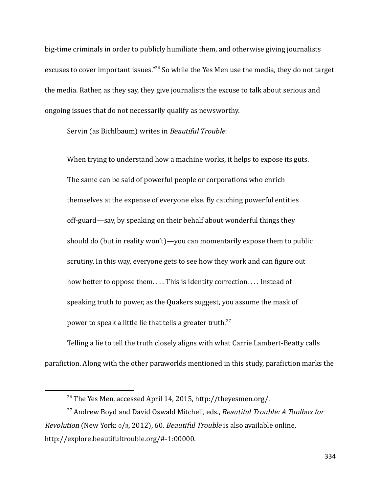big-time criminals in order to publicly humiliate them, and otherwise giving journalists excuses to cover important issues."<sup>26</sup> So while the Yes Men use the media, they do not target the media. Rather, as they say, they give journalists the excuse to talk about serious and ongoing issues that do not necessarily qualify as newsworthy.

Servin (as Bichlbaum) writes in Beautiful Trouble:

When trying to understand how a machine works, it helps to expose its guts. The same can be said of powerful people or corporations who enrich themselves at the expense of everyone else. By catching powerful entities off-guard—say, by speaking on their behalf about wonderful things they should do (but in reality won't)—you can momentarily expose them to public scrutiny. In this way, everyone gets to see how they work and can figure out how better to oppose them.... This is identity correction.... Instead of speaking truth to power, as the Quakers suggest, you assume the mask of power to speak a little lie that tells a greater truth.<sup>27</sup>

Telling a lie to tell the truth closely aligns with what Carrie Lambert-Beatty calls parafiction. Along with the other paraworlds mentioned in this study, parafiction marks the

<sup>26</sup> The Yes Men, accessed April 14, 2015, http://theyesmen.org/.

<sup>&</sup>lt;sup>27</sup> Andrew Boyd and David Oswald Mitchell, eds., Beautiful Trouble: A Toolbox for *Revolution* (New York:  $o/R$ , 2012), 60. *Beautiful Trouble* is also available online, http://explore.beautifultrouble.org/#-1:00000.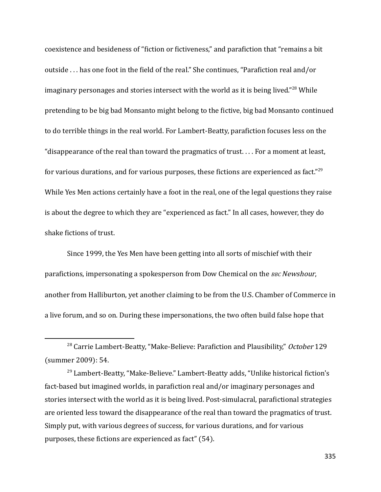coexistence and besideness of "fiction or fictiveness," and parafiction that "remains a bit outside . . . has one foot in the field of the real." She continues, "Parafiction real and/or imaginary personages and stories intersect with the world as it is being lived." $^{28}$  While pretending to be big bad Monsanto might belong to the fictive, big bad Monsanto continued to do terrible things in the real world. For Lambert-Beatty, parafiction focuses less on the "disappearance of the real than toward the pragmatics of trust. . . . For a moment at least, for various durations, and for various purposes, these fictions are experienced as fact." $^{29}$ While Yes Men actions certainly have a foot in the real, one of the legal questions they raise is about the degree to which they are "experienced as fact." In all cases, however, they do shake fictions of trust.

Since 1999, the Yes Men have been getting into all sorts of mischief with their parafictions, impersonating a spokesperson from Dow Chemical on the *BBC Newshour*, another from Halliburton, yet another claiming to be from the U.S. Chamber of Commerce in a live forum, and so on. During these impersonations, the two often build false hope that

<sup>&</sup>lt;sup>28</sup> Carrie Lambert-Beatty, "Make-Believe: Parafiction and Plausibility," October 129 (summer 2009): 54.

 $29$  Lambert-Beatty, "Make-Believe." Lambert-Beatty adds, "Unlike historical fiction's fact-based but imagined worlds, in parafiction real and/or imaginary personages and stories intersect with the world as it is being lived. Post-simulacral, parafictional strategies are oriented less toward the disappearance of the real than toward the pragmatics of trust. Simply put, with various degrees of success, for various durations, and for various purposes, these fictions are experienced as fact" (54).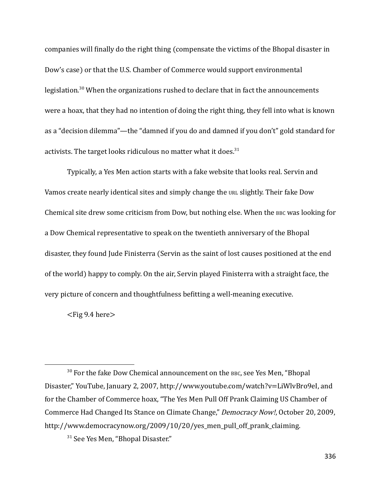companies will finally do the right thing (compensate the victims of the Bhopal disaster in Dow's case) or that the U.S. Chamber of Commerce would support environmental legislation.<sup>30</sup> When the organizations rushed to declare that in fact the announcements were a hoax, that they had no intention of doing the right thing, they fell into what is known as a "decision dilemma"—the "damned if you do and damned if you don't" gold standard for activists. The target looks ridiculous no matter what it does. $31$ 

Typically, a Yes Men action starts with a fake website that looks real. Servin and Vamos create nearly identical sites and simply change the URL slightly. Their fake Dow Chemical site drew some criticism from Dow, but nothing else. When the BBC was looking for a Dow Chemical representative to speak on the twentieth anniversary of the Bhopal disaster, they found Jude Finisterra (Servin as the saint of lost causes positioned at the end of the world) happy to comply. On the air, Servin played Finisterra with a straight face, the very picture of concern and thoughtfulness befitting a well-meaning executive.

 $\langle$ Fig 9.4 here $>$ 

<sup>&</sup>lt;sup>30</sup> For the fake Dow Chemical announcement on the BBC, see Yes Men, "Bhopal Disaster," YouTube, January 2, 2007, [http://www.youtube.com/watch?v=LiWlvBro9eI,](http://www.youtube.com/watch?v=liwlvbro9ei) and for the Chamber of Commerce hoax, "The Yes Men Pull Off Prank Claiming US Chamber of Commerce Had Changed Its Stance on Climate Change," Democracy Now!, October 20, 2009, [http://www.democracynow.org/2009/10/20/yes\\_men\\_pull\\_off\\_prank\\_claiming.](http://www.democracynow.org/2009/10/20/yes_men_pull_off_prank_claiming)

<sup>&</sup>lt;sup>31</sup> See Yes Men, "Bhopal Disaster."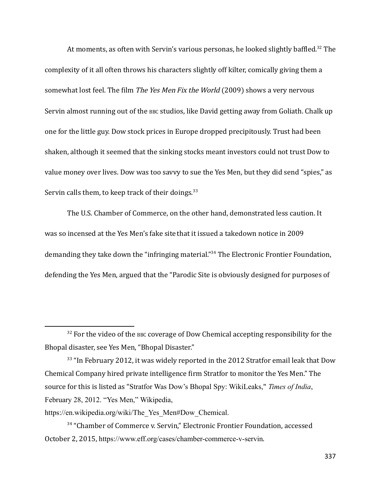At moments, as often with Servin's various personas, he looked slightly baffled.<sup>32</sup> The complexity of it all often throws his characters slightly off kilter, comically giving them a somewhat lost feel. The film *The Yes Men Fix the World* (2009) shows a very nervous Servin almost running out of the BBC studios, like David getting away from Goliath. Chalk up one for the little guy. Dow stock prices in Europe dropped precipitously. Trust had been shaken, although it seemed that the sinking stocks meant investors could not trust Dow to value money over lives. Dow was too savvy to sue the Yes Men, but they did send "spies," as Servin calls them, to keep track of their doings.  $33$ 

The U.S. Chamber of Commerce, on the other hand, demonstrated less caution. It was so incensed at the Yes Men's fake site that it issued a takedown notice in 2009 demanding they take down the "infringing material." <sup>34</sup> The Electronic Frontier Foundation, defending the Yes Men, argued that the "Parodic Site is obviously designed for purposes of

 $32$  For the video of the BBC coverage of Dow Chemical accepting responsibility for the Bhopal disaster, see Yes Men, "Bhopal Disaster."

 $33$  "In February 2012, it was widely reported in the 2012 Stratfor email leak that Dow Chemical Company hired private intelligence firm Stratfor to monitor the Yes Men." The source for this is listed as "Stratfor Was Dow's Bhopal Spy: WikiLeaks," *Times of India*, February 28, 2012. "Yes Men," Wikipedia,

https://en.wikipedia.org/wiki/The Yes Men#Dow Chemical.

<sup>&</sup>lt;sup>34</sup> "Chamber of Commerce v. Servin," Electronic Frontier Foundation, accessed October 2, 2015, https://www.eff.org/cases/chamber-commerce-v-servin.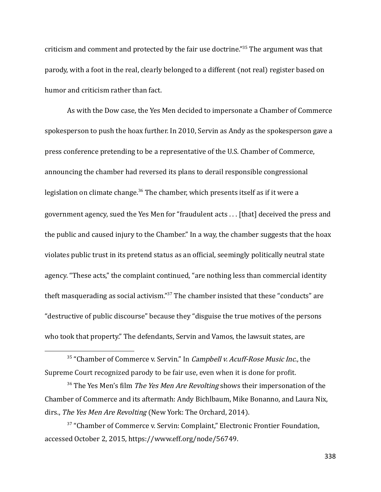criticism and comment and protected by the fair use doctrine." <sup>35</sup> The argument was that parody, with a foot in the real, clearly belonged to a different (not real) register based on humor and criticism rather than fact.

As with the Dow case, the Yes Men decided to impersonate a Chamber of Commerce spokesperson to push the hoax further. In 2010, Servin as Andy as the spokesperson gave a press conference pretending to be a representative of the U.S. Chamber of Commerce, announcing the chamber had reversed its plans to derail responsible congressional legislation on climate change.<sup>36</sup> The chamber, which presents itself as if it were a government agency, sued the Yes Men for "fraudulent acts . . . [that] deceived the press and the public and caused injury to the Chamber." In a way, the chamber suggests that the hoax violates public trust in its pretend status as an official, seemingly politically neutral state agency. "These acts," the complaint continued, "are nothing less than commercial identity theft masquerading as social activism." <sup>37</sup> The chamber insisted that these "conducts" are "destructive of public discourse" because they "disguise the true motives of the persons who took that property." The defendants, Servin and Vamos, the lawsuit states, are

<sup>&</sup>lt;sup>35</sup> "Chamber of Commerce v. Servin." In *[Campbell v. Acuff-Rose](http://supreme.justia.com/cases/federal/us/510/569/case.html) Music Inc.*, the Supreme Court recognized parody to be fair use, even when it is done for profit.

 $36$  The Yes Men's film *The Yes Men Are Revolting* shows their impersonation of the Chamber of Commerce and its aftermath: Andy Bichlbaum, Mike Bonanno, and Laura Nix, dirs., The Yes Men Are Revolting (New York: The Orchard, 2014).

<sup>&</sup>lt;sup>37</sup> "Chamber of Commerce v. Servin: Complaint," Electronic Frontier Foundation, accessed October 2, 2015, https://www.eff.org/node/56749.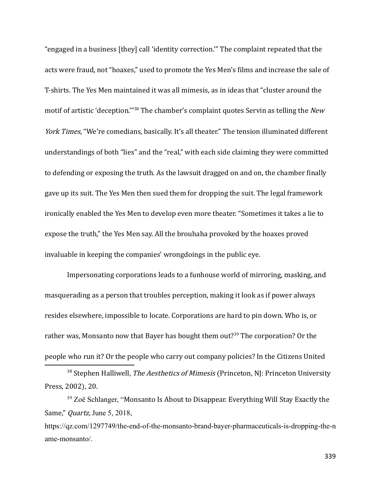"engaged in a business [they] call 'identity correction.'" The complaint repeated that the acts were fraud, not "hoaxes," used to promote the Yes Men's films and increase the sale of T-shirts. The Yes Men maintained it was all mimesis, as in ideas that "cluster around the motif of artistic 'deception."<sup>38</sup> The chamber's complaint quotes Servin as telling the New York Times, "We're comedians, basically. It's all theater." The tension illuminated different understandings of both "lies" and the "real," with each side claiming they were committed to defending or exposing the truth. As the lawsuit dragged on and on, the chamber finally gave up its suit. The Yes Men then sued them for dropping the suit. The legal framework ironically enabled the Yes Men to develop even more theater. "Sometimes it takes a lie to expose the truth," the Yes Men say. All the brouhaha provoked by the hoaxes proved invaluable in keeping the companies' wrongdoings in the public eye.

Impersonating corporations leads to a funhouse world of mirroring, masking, and masquerading as a person that troubles perception, making it look as if power always resides elsewhere, impossible to locate. Corporations are hard to pin down. Who is, or rather was, Monsanto now that Bayer has bought them out?<sup>39</sup> The corporation? Or the people who run it? Or the people who carry out company policies? In the Citizens United

<sup>&</sup>lt;sup>38</sup> Stephen Halliwell, *The Aesthetics of Mimesis* (Princeton, NJ: Princeton University Press, 2002), 20.

 $39$  Zoë Schlanger, "Monsanto Is About to Disappear. Everything Will Stay Exactly the Same," *Quartz*, June 5, 2018,

https://qz.com/1297749/the-end-of-the-monsanto-brand-bayer-pharmaceuticals-is-dropping-the-n ame-monsanto/.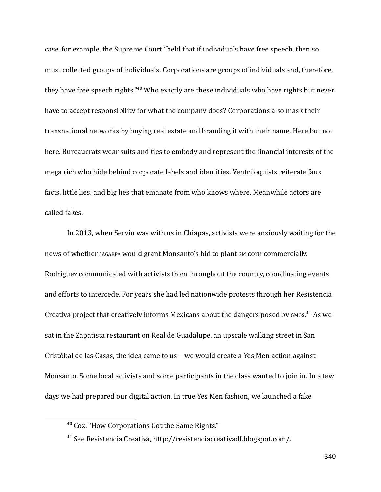case, for example, the Supreme Court "held that if individuals have free speech, then so must collected groups of individuals. Corporations are groups of individuals and, therefore, they have free speech rights." <sup>40</sup> Who exactly are these individuals who have rights but never have to accept responsibility for what the company does? Corporations also mask their transnational networks by buying real estate and branding it with their name. Here but not here. Bureaucrats wear suits and ties to embody and represent the financial interests of the mega rich who hide behind corporate labels and identities. Ventriloquists reiterate faux facts, little lies, and big lies that emanate from who knows where. Meanwhile actors are called fakes.

In 2013, when Servin was with us in Chiapas, activists were anxiously waiting for the news of whether SAGARPA would grant Monsanto's bid to plant GM corn commercially. Rodríguez communicated with activists from throughout the country, coordinating events and efforts to intercede. For years she had led nationwide protests through her Resistencia Creativa project that creatively informs Mexicans about the dangers posed by GMOS.<sup>41</sup> As we sat in the Zapatista restaurant on Real de Guadalupe, an upscale walking street in San Cristóbal de las Casas, the idea came to us—we would create a Yes Men action against Monsanto. Some local activists and some participants in the class wanted to join in. In a few days we had prepared our digital action. In true Yes Men fashion, we launched a fake

<sup>40</sup> Cox, "How Corporations Got the Same Rights."

<sup>41</sup> See Resistencia Creativa, http://resistenciacreativadf.blogspot.com/.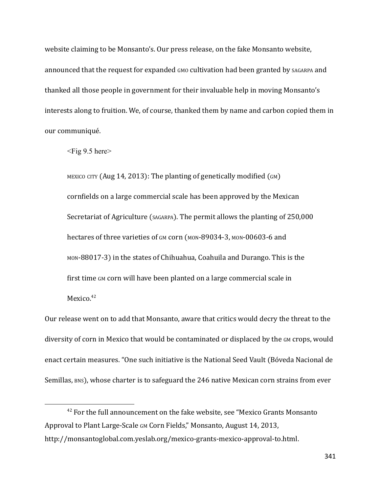website claiming to be Monsanto's. Our press release, on the fake Monsanto website, announced that the request for expanded GMO cultivation had been granted by SAGARPA and thanked all those people in government for their invaluable help in moving Monsanto's interests along to fruition. We, of course, thanked them by name and carbon copied them in our communiqué.

<Fig 9.5 here>

MEXICO CITY (Aug 14, 2013): The planting of genetically modified (GM) cornfields on a large commercial scale has been approved by the Mexican Secretariat of Agriculture (SAGARPA). The permit allows the planting of 250,000 hectares of three varieties of GM corn (MON-89034-3, MON-00603-6 and MON-88017-3) in the states of Chihuahua, Coahuila and Durango. This is the first time GM corn will have been planted on a large commercial scale in Mexico. $42$ 

Our release went on to add that Monsanto, aware that critics would decry the threat to the diversity of corn in Mexico that would be contaminated or displaced by the GM crops, would enact certain measures. "One such initiative is the National Seed Vault (Bóveda Nacional de Semillas, BNS), whose charter is to safeguard the 246 native Mexican corn strains from ever

<sup>&</sup>lt;sup>42</sup> For the full announcement on the fake website, see ["Mexico Grants Monsanto](http://monsantoglobal.com.yeslab.org/mexico-grants-mexico-approval-to.html)" [Approval to Plant Large-Scale](http://monsantoglobal.com.yeslab.org/mexico-grants-mexico-approval-to.html) GM Corn Fields," Monsanto, August 14, 2013, <http://monsantoglobal.com.yeslab.org/mexico-grants-mexico-approval-to.html>.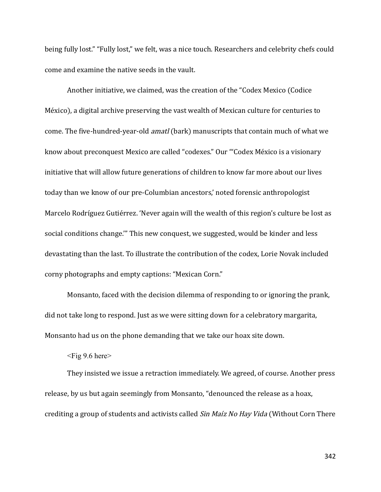being fully lost." "Fully lost," we felt, was a nice touch. Researchers and celebrity chefs could come and examine the native seeds in the vault.

Another initiative, we claimed, was the creation of the "Codex Mexico (Codice México), a digital archive preserving the vast wealth of Mexican culture for centuries to come. The five-hundred-year-old amatl (bark) manuscripts that contain much of what we know about preconquest Mexico are called "codexes." Our "'Codex México is a visionary initiative that will allow future generations of children to know far more about our lives today than we know of our pre-Columbian ancestors,' noted forensic anthropologist Marcelo Rodríguez Gutiérrez. 'Never again will the wealth of this region's culture be lost as social conditions change.'" This new conquest, we suggested, would be kinder and less devastating than the last. To illustrate the contribution of the codex, Lorie Novak included corny photographs and empty captions: "Mexican Corn."

Monsanto, faced with the decision dilemma of responding to or ignoring the prank, did not take long to respond. Just as we were sitting down for a celebratory margarita, Monsanto had us on the phone demanding that we take our hoax site down.

 $\langle$ Fig 9.6 here $\rangle$ 

They insisted we issue a retraction immediately. We agreed, of course. Another press release, by us but again seemingly from Monsanto, "denounced the release as a hoax, crediting a group of students and activists called Sin Maíz No Hay Vida (Without Corn There

342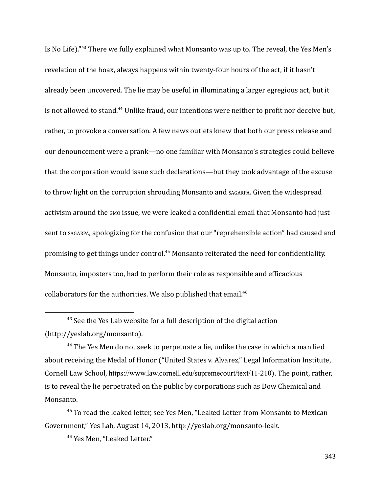Is No Life)."<sup>43</sup> There we fully explained what Monsanto was up to. The reveal, the Yes Men's revelation of the hoax, always happens within twenty-four hours of the act, if it hasn't already been uncovered. The lie may be useful in illuminating a larger egregious act, but it is not allowed to stand.<sup>44</sup> Unlike fraud, our intentions were neither to profit nor deceive but, rather, to provoke a conversation. A few news outlets knew that both our press release and our denouncement were a prank—no one familiar with Monsanto's strategies could believe that the corporation would issue such declarations—but they took advantage of the excuse to throw light on the corruption shrouding Monsanto and SAGARPA. Given the widespread activism around the GMO issue, we were leaked a confidential email that Monsanto had just sent to SAGARPA, apologizing for the confusion that our "reprehensible action" had caused and promising to get things under control.<sup>45</sup> Monsanto reiterated the need for confidentiality. Monsanto, imposters too, had to perform their role as responsible and efficacious collaborators for the authorities. We also published that email.<sup>46</sup>

<sup>46</sup> Yes Men, "Leaked Letter."

<sup>&</sup>lt;sup>43</sup> See the Yes Lab website for a full description of the digital action (http://yeslab.org/monsanto).

 $44$  The Yes Men do not seek to perpetuate a lie, unlike the case in which a man lied about receiving the Medal of Honor ("United States v. Alvarez," Legal Information Institute, Cornell Law School, https://www.law.cornell.edu/supremecourt/text/11-210). The point, rather, is to reveal the lie perpetrated on the public by corporations such as Dow Chemical and Monsanto.

<sup>&</sup>lt;sup>45</sup> To read the leaked letter, see Yes Men, "Leaked Letter from Monsanto to Mexican Government," Yes Lab, August 14, 2013, http://yeslab.org/monsanto-leak.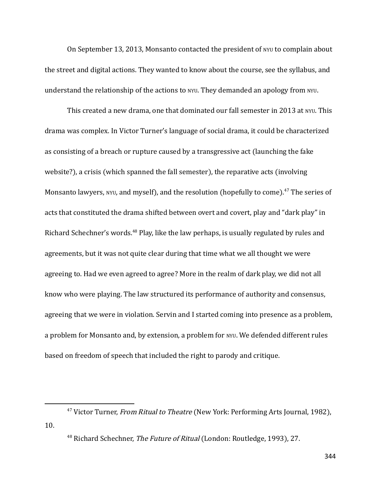On September 13, 2013, Monsanto contacted the president of NYU to complain about the street and digital actions. They wanted to know about the course, see the syllabus, and understand the relationship of the actions to NYU. They demanded an apology from NYU.

This created a new drama, one that dominated our fall semester in 2013 at NYU. This drama was complex. In Victor Turner's language of social drama, it could be characterized as consisting of a breach or rupture caused by a transgressive act (launching the fake website?), a crisis (which spanned the fall semester), the reparative acts (involving Monsanto lawyers, NYU, and myself), and the resolution (hopefully to come).<sup>47</sup> The series of acts that constituted the drama shifted between overt and covert, play and "dark play" in Richard Schechner's words.<sup>48</sup> Play, like the law perhaps, is usually regulated by rules and agreements, but it was not quite clear during that time what we all thought we were agreeing to. Had we even agreed to agree? More in the realm of dark play, we did not all know who were playing. The law structured its performance of authority and consensus, agreeing that we were in violation. Servin and I started coming into presence as a problem, a problem for Monsanto and, by extension, a problem for NYU. We defended different rules based on freedom of speech that included the right to parody and critique.

<sup>&</sup>lt;sup>47</sup> Victor Turner, From Ritual to Theatre (New York: Performing Arts Journal, 1982), 10.

<sup>&</sup>lt;sup>48</sup> Richard Schechner, The Future of Ritual (London: Routledge, 1993), 27.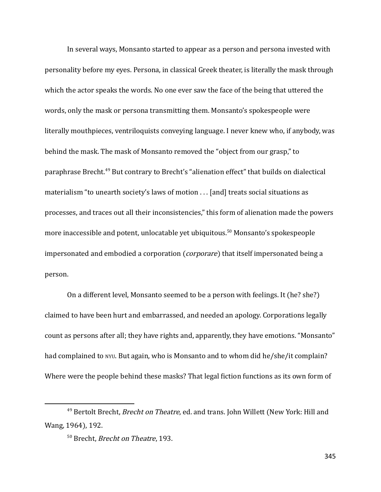In several ways, Monsanto started to appear as a person and persona invested with personality before my eyes. Persona, in classical Greek theater, is literally the mask through which the actor speaks the words. No one ever saw the face of the being that uttered the words, only the mask or persona transmitting them. Monsanto's spokespeople were literally mouthpieces, ventriloquists conveying language. I never knew who, if anybody, was behind the mask. The mask of Monsanto removed the "object from our grasp," to paraphrase Brecht.<sup>49</sup> But contrary to Brecht's "alienation effect" that builds on dialectical materialism "to unearth society's laws of motion . . . [and] treats social situations as processes, and traces out all their inconsistencies," this form of alienation made the powers more inaccessible and potent, unlocatable yet ubiquitous.<sup>50</sup> Monsanto's spokespeople impersonated and embodied a corporation (*corporare*) that itself impersonated being a person.

On a different level, Monsanto seemed to be a person with feelings. It (he? she?) claimed to have been hurt and embarrassed, and needed an apology. Corporations legally count as persons after all; they have rights and, apparently, they have emotions. "Monsanto" had complained to NYU. But again, who is Monsanto and to whom did he/she/it complain? Where were the people behind these masks? That legal fiction functions as its own form of

<sup>&</sup>lt;sup>49</sup> Bertolt Brecht, *Brecht on Theatre*, ed. and trans. John Willett (New York: Hill and Wang, 1964), 192.

<sup>50</sup> Brecht, Brecht on Theatre, 193.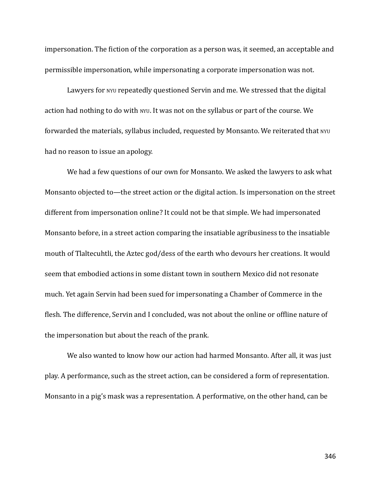impersonation. The fiction of the corporation as a person was, it seemed, an acceptable and permissible impersonation, while impersonating a corporate impersonation was not.

Lawyers for NYU repeatedly questioned Servin and me. We stressed that the digital action had nothing to do with NYU. It was not on the syllabus or part of the course. We forwarded the materials, syllabus included, requested by Monsanto. We reiterated that NYU had no reason to issue an apology.

We had a few questions of our own for Monsanto. We asked the lawyers to ask what Monsanto objected to—the street action or the digital action. Is impersonation on the street different from impersonation online? It could not be that simple. We had impersonated Monsanto before, in a street action comparing the insatiable agribusiness to the insatiable mouth of Tlaltecuhtli, the Aztec god/dess of the earth who devours her creations. It would seem that embodied actions in some distant town in southern Mexico did not resonate much. Yet again Servin had been sued for impersonating a Chamber of Commerce in the flesh. The difference, Servin and I concluded, was not about the online or offline nature of the impersonation but about the reach of the prank.

We also wanted to know how our action had harmed Monsanto. After all, it was just play. A performance, such as the street action, can be considered a form of representation. Monsanto in a pig's mask was a representation. A performative, on the other hand, can be

346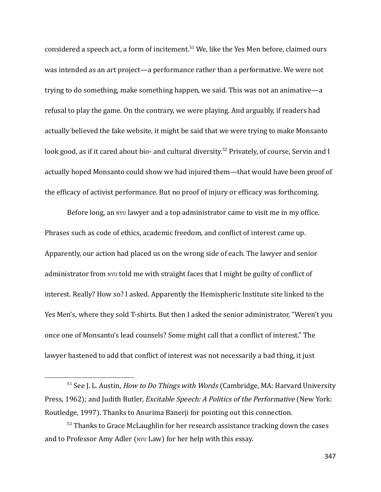considered a speech act, a form of incitement. <sup>51</sup> We, like the Yes Men before, claimed ours was intended as an art project—a performance rather than a performative. We were not trying to do something, make something happen, we said. This was not an animative—a refusal to play the game. On the contrary, we were playing. And arguably, if readers had actually believed the fake website, it might be said that we were trying to make Monsanto look good, as if it cared about bio- and cultural diversity.<sup>52</sup> Privately, of course, Servin and I actually hoped Monsanto could show we had injured them—that would have been proof of the efficacy of activist performance. But no proof of injury or efficacy was forthcoming.

Before long, an NYU lawyer and a top administrator came to visit me in my office. Phrases such as code of ethics, academic freedom, and conflict of interest came up. Apparently, our action had placed us on the wrong side of each. The lawyer and senior administrator from NYU told me with straight faces that I might be guilty of conflict of interest. Really? How so? I asked. Apparently the Hemispheric Institute site linked to the Yes Men's, where they sold T-shirts. But then I asked the senior administrator, "Weren't you once one of Monsanto's lead counsels? Some might call that a conflict of interest." The lawyer hastened to add that conflict of interest was not necessarily a bad thing, it just

 $51$  See J. L. Austin, *How to Do Things with Words* (Cambridge, MA: Harvard University Press, 1962); and Judith Butler, *Excitable Speech: A Politics of the Performative* (New York: Routledge, 1997). Thanks to Anurima Banerji for pointing out this connection.

 $52$  Thanks to Grace McLaughlin for her research assistance tracking down the cases and to Professor Amy Adler (NYU Law) for her help with this essay.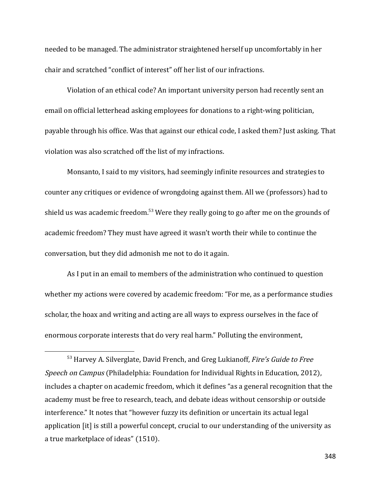needed to be managed. The administrator straightened herself up uncomfortably in her chair and scratched "conflict of interest" off her list of our infractions.

Violation of an ethical code? An important university person had recently sent an email on official letterhead asking employees for donations to a right-wing politician, payable through his office. Was that against our ethical code, I asked them? Just asking. That violation was also scratched off the list of my infractions.

Monsanto, I said to my visitors, had seemingly infinite resources and strategies to counter any critiques or evidence of wrongdoing against them. All we (professors) had to shield us was academic freedom.<sup>53</sup> Were they really going to go after me on the grounds of academic freedom? They must have agreed it wasn't worth their while to continue the conversation, but they did admonish me not to do it again.

As I put in an email to members of the administration who continued to question whether my actions were covered by academic freedom: "For me, as a performance studies scholar, the hoax and writing and acting are all ways to express ourselves in the face of enormous corporate interests that do very real harm." Polluting the environment,

 $53$  Harvey A. Silverglate, David French, and Greg Lukianoff, Fire's Guide to Free Speech on Campus (Philadelphia: Foundation for Individual Rights in Education, 2012), includes a chapter on academic freedom, which it defines "as a general recognition that the academy must be free to research, teach, and debate ideas without censorship or outside interference." It notes that "however fuzzy its definition or uncertain its actual legal application [it] is still a powerful concept, crucial to our understanding of the university as a true marketplace of ideas" (1510).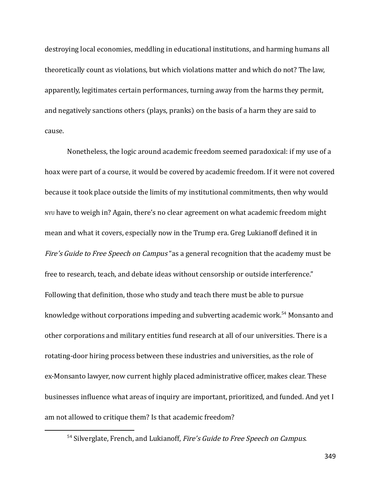destroying local economies, meddling in educational institutions, and harming humans all theoretically count as violations, but which violations matter and which do not? The law, apparently, legitimates certain performances, turning away from the harms they permit, and negatively sanctions others (plays, pranks) on the basis of a harm they are said to cause.

Nonetheless, the logic around academic freedom seemed paradoxical: if my use of a hoax were part of a course, it would be covered by academic freedom. If it were not covered because it took place outside the limits of my institutional commitments, then why would NYU have to weigh in? Again, there's no clear agreement on what academic freedom might mean and what it covers, especially now in the Trump era. Greg Lukianoff defined it in Fire's Guide to Free Speech on Campus "as a general recognition that the academy must be free to research, teach, and debate ideas without censorship or outside interference." Following that definition, those who study and teach there must be able to pursue knowledge without corporations impeding and subverting academic work.<sup>54</sup> Monsanto and other corporations and military entities fund research at all of our universities. There is a rotating-door hiring process between these industries and universities, as the role of ex-Monsanto lawyer, now current highly placed administrative officer, makes clear. These businesses influence what areas of inquiry are important, prioritized, and funded. And yet I am not allowed to critique them? Is that academic freedom?

<sup>&</sup>lt;sup>54</sup> Silverglate, French, and Lukianoff, Fire's Guide to Free Speech on Campus.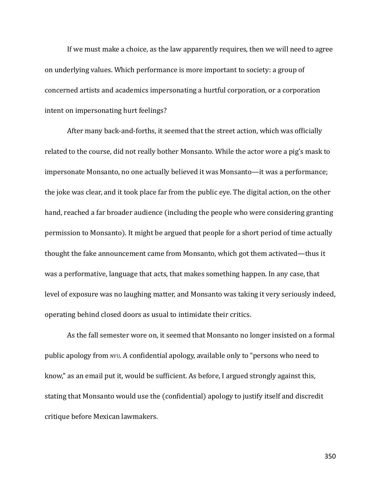If we must make a choice, as the law apparently requires, then we will need to agree on underlying values. Which performance is more important to society: a group of concerned artists and academics impersonating a hurtful corporation, or a corporation intent on impersonating hurt feelings?

After many back-and-forths, it seemed that the street action, which was officially related to the course, did not really bother Monsanto. While the actor wore a pig's mask to impersonate Monsanto, no one actually believed it was Monsanto—it was a performance; the joke was clear, and it took place far from the public eye. The digital action, on the other hand, reached a far broader audience (including the people who were considering granting permission to Monsanto). It might be argued that people for a short period of time actually thought the fake announcement came from Monsanto, which got them activated—thus it was a performative, language that acts, that makes something happen. In any case, that level of exposure was no laughing matter, and Monsanto was taking it very seriously indeed, operating behind closed doors as usual to intimidate their critics.

As the fall semester wore on, it seemed that Monsanto no longer insisted on a formal public apology from NYU. A confidential apology, available only to "persons who need to know," as an email put it, would be sufficient. As before, I argued strongly against this, stating that Monsanto would use the (confidential) apology to justify itself and discredit critique before Mexican lawmakers.

350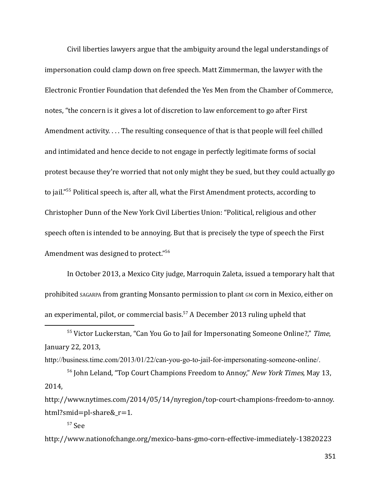Civil liberties lawyers argue that the ambiguity around the legal understandings of impersonation could clamp down on free speech. Matt Zimmerman, the lawyer with the Electronic Frontier Foundation that defended the Yes Men from the Chamber of Commerce, notes, "the concern is it gives a lot of discretion to law enforcement to go after First Amendment activity. . . . The resulting consequence of that is that people will feel chilled and intimidated and hence decide to not engage in perfectly legitimate forms of social protest because they're worried that not only might they be sued, but they could actually go to jail." <sup>55</sup> Political speech is, after all, what the First Amendment protects, according to Christopher Dunn of the New York Civil Liberties Union: "Political, religious and other speech often is intended to be annoying. But that is precisely the type of speech the First Amendment was designed to protect."<sup>56</sup>

In October 2013, a Mexico City judge, Marroquin Zaleta, issued a temporary halt that prohibited SAGARPA from granting Monsanto permission to plant GM corn in Mexico, either on an experimental, pilot, or commercial basis.<sup>57</sup> A December 2013 ruling upheld that

http://business.time.com/2013/01/22/can-you-go-to-jail-for-impersonating-someone-online/.

<sup>56</sup> John Leland, "Top Court Champions Freedom to Annoy," *New York Times*, May 13, 2014,

http://www.nytimes.com/2014/05/14/nyregion/top-court-champions-freedom-to-annoy. html?smid=pl-share&\_r=1.

 $57$  S[e](http://www.nationofchange.org/mexico-bans-gmo-corn-effective-immediately-1382022349)e

htt[p://](http://www.nationofchange.org/mexico-bans-gmo-corn-effective-immediately-1382022349)ww[w.n](http://www.nationofchange.org/mexico-bans-gmo-corn-effective-immediately-1382022349)ationofchange[.org/](http://www.nationofchange.org/mexico-bans-gmo-corn-effective-immediately-1382022349)mexico[-bans-](http://www.nationofchange.org/mexico-bans-gmo-corn-effective-immediately-1382022349)gm[o-](http://www.nationofchange.org/mexico-bans-gmo-corn-effective-immediately-1382022349)corn[-e](http://www.nationofchange.org/mexico-bans-gmo-corn-effective-immediately-1382022349)ffective[-i](http://www.nationofchange.org/mexico-bans-gmo-corn-effective-immediately-1382022349)mmediately-13820223

351

<sup>&</sup>lt;sup>55</sup> Victor Luckerstan, "Can You Go to Jail for Impersonating Someone Online?," Time, January 22, 2013,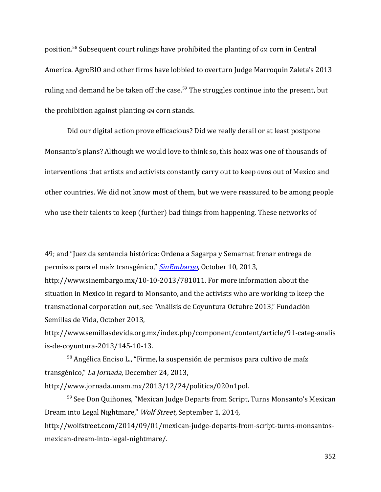position.<sup>58</sup> Subsequent court rulings have prohibited the planting of GM corn in Central America. AgroBIO and other firms have lobbied to overturn Judge Marroquin Zaleta's 2013 ruling and demand he be taken off the case.<sup>59</sup> The struggles continue into the present, but the prohibition against planting GM corn stands.

Did our digital action prove efficacious? Did we really derail or at least postpone Monsanto's plans? Although we would love to think so, this hoax was one of thousands of interventions that artists and activists constantly carry out to keep GMOS out of Mexico and other countries. We did not know most of them, but we were reassured to be among people who use their talents to keep (further) bad things from happening. These networks of

49; an[d](http://www.sinembargo.mx/10-10-2013/781011) "Juez da sentencia histórica: Ordena a Sagarpa y Semarnat frenar entrega de permisos para el maíz transgénico," [SinEmbargo](https://www.sinembargo.mx/10-10-2013/781011), October 10, 2013,

htt[p://www.s](http://www.semillasdevida.org.mx/index.php/component/content/article/91-categ-analisis-de-coyuntura-2013/145-10-13)emillasdevida[.org.mx/i](http://www.semillasdevida.org.mx/index.php/component/content/article/91-categ-analisis-de-coyuntura-2013/145-10-13)ndex[.php/](http://www.semillasdevida.org.mx/index.php/component/content/article/91-categ-analisis-de-coyuntura-2013/145-10-13)componen[t/](http://www.semillasdevida.org.mx/index.php/component/content/article/91-categ-analisis-de-coyuntura-2013/145-10-13)conten[t/a](http://www.semillasdevida.org.mx/index.php/component/content/article/91-categ-analisis-de-coyuntura-2013/145-10-13)rticle[/91-c](http://www.semillasdevida.org.mx/index.php/component/content/article/91-categ-analisis-de-coyuntura-2013/145-10-13)ateg[-a](http://www.semillasdevida.org.mx/index.php/component/content/article/91-categ-analisis-de-coyuntura-2013/145-10-13)nalis i[s-de-c](http://www.semillasdevida.org.mx/index.php/component/content/article/91-categ-analisis-de-coyuntura-2013/145-10-13)oyuntur[a-2013/145-](http://www.semillasdevida.org.mx/index.php/component/content/article/91-categ-analisis-de-coyuntura-2013/145-10-13)10[-13](http://www.semillasdevida.org.mx/index.php/component/content/article/91-categ-analisis-de-coyuntura-2013/145-10-13).

<sup>58</sup> Angélica Enciso L., "Firme, la suspensión de permisos para cultivo de maíz transgénico," La Jornada, December 24, 2013,

htt[p://](http://www.jornada.unam.mx/2013/12/24/politica/020n1pol)ww[w.j](http://www.jornada.unam.mx/2013/12/24/politica/020n1pol)ornad[a.u](http://www.jornada.unam.mx/2013/12/24/politica/020n1pol)nam[.](http://www.jornada.unam.mx/2013/12/24/politica/020n1pol)mx/2013/12/24/politica/020n1pol.

<sup>59</sup> See Don Quiñones, "Mexican Judge Departs from Script, Turns Monsanto's Mexican Dream into Legal Nightmare," Wolf Street, September 1, 2014,

http://wolfstreet.com/2014/09/01/mexican-judge-departs-from-script-turns-monsantosmexican-dream-into-legal-nightmare/.

htt[p://www.s](http://www.sinembargo.mx/10-10-2013/781011)inembarg[o.mx/10-10-](http://www.sinembargo.mx/10-10-2013/781011)2013/781011. For more information about the situation in Mexico in regard to Monsanto, and the activists who are working to keep the transnational corporation out, see ["](http://www.semillasdevida.org.mx/index.php/component/content/article/91-categ-analisis-de-coyuntura-2013/145-10-13)Análisis de Coyuntura Octubre 2013," Fundación Semillas de Vida, October 2013,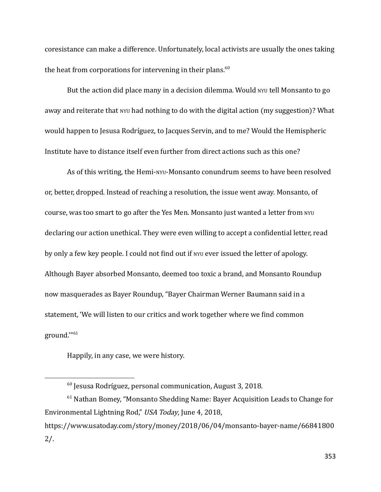coresistance can make a difference. Unfortunately, local activists are usually the ones taking the heat from corporations for intervening in their plans. $60$ 

But the action did place many in a decision dilemma. Would NYU tell Monsanto to go away and reiterate that NYU had nothing to do with the digital action (my suggestion)? What would happen to Jesusa Rodríguez, to Jacques Servin, and to me? Would the Hemispheric Institute have to distance itself even further from direct actions such as this one?

As of this writing, the Hemi-NYU-Monsanto conundrum seems to have been resolved or, better, dropped. Instead of reaching a resolution, the issue went away. Monsanto, of course, was too smart to go after the Yes Men. Monsanto just wanted a letter from NYU declaring our action unethical. They were even willing to accept a confidential letter, read by only a few key people. I could not find out if NYU ever issued the letter of apology. Although Bayer absorbed Monsanto, deemed too toxic a brand, and Monsanto Roundup now masquerades as Bayer Roundup, "Bayer Chairman Werner Baumann said in a statement, 'We will listen to our critics and work together where we find common ground.'" 61

Happily, in any case, we were history.

 $^{60}$  Jesusa Rodríguez, personal communication, August 3, 2018.

 $61$  Nathan Bomey, "Monsanto Shedding Name: Bayer Acquisition Leads to Change for Environmental Lightning Rod," USA Today, June 4, 2018, https://www.usatoday.com/story/money/2018/06/04/monsanto-bayer-name/66841800 2/.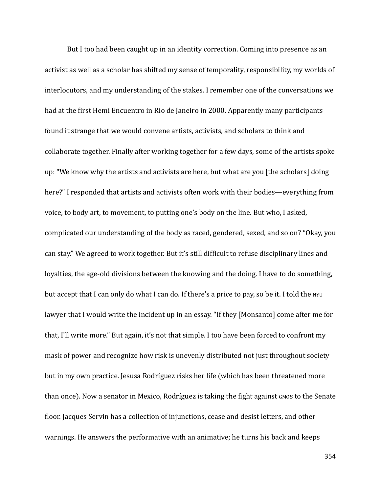But I too had been caught up in an identity correction. Coming into presence as an activist as well as a scholar has shifted my sense of temporality, responsibility, my worlds of interlocutors, and my understanding of the stakes. I remember one of the conversations we had at the first Hemi Encuentro in Rio de Janeiro in 2000. Apparently many participants found it strange that we would convene artists, activists, and scholars to think and collaborate together. Finally after working together for a few days, some of the artists spoke up: "We know why the artists and activists are here, but what are you [the scholars] doing here?" I responded that artists and activists often work with their bodies—everything from voice, to body art, to movement, to putting one's body on the line. But who, I asked, complicated our understanding of the body as raced, gendered, sexed, and so on? "Okay, you can stay." We agreed to work together. But it's still difficult to refuse disciplinary lines and loyalties, the age-old divisions between the knowing and the doing. I have to do something, but accept that I can only do what I can do. If there's a price to pay, so be it. I told the NYU lawyer that I would write the incident up in an essay. "If they [Monsanto] come after me for that, I'll write more." But again, it's not that simple. I too have been forced to confront my mask of power and recognize how risk is unevenly distributed not just throughout society but in my own practice. Jesusa Rodríguez risks her life (which has been threatened more than once). Now a senator in Mexico, Rodríguez is taking the fight against GMOS to the Senate floor. Jacques Servin has a collection of injunctions, cease and desist letters, and other warnings. He answers the performative with an animative; he turns his back and keeps

354